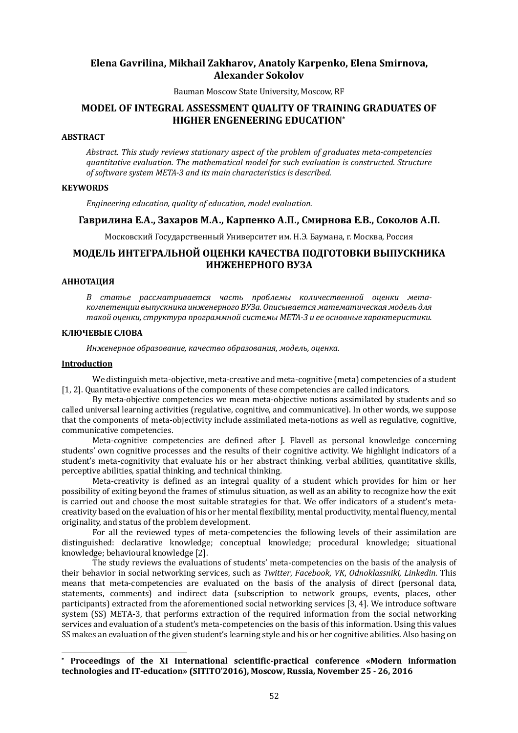## **Elena Gavrilina, Mikhail Zakharov, Anatoly Karpenko, Elena Smirnova, Alexander Sokolov**

Bauman Moscow State University, Moscow, RF

## **MODEL OF INTEGRAL ASSESSMENT QUALITY OF TRAINING GRADUATES OF HIGHER ENGENEERING EDUCATION\***

### **ABSTRACT**

Abstract. This study reviews stationary aspect of the problem of graduates meta-competencies quantitative evaluation. The mathematical model for such evaluation is constructed. Structure of software system META-3 and its main characteristics is described.

### **KEYWORDS**

*Engineering education, quality of education, model evaluation.* 

### **Гаврилина Е.А., Захаров М.А., Карпенко А.П., Смирнова Е.В., Соколов А.П.**

Московский Государственный Университет им. Н.Э. Баумана, г. Москва, Россия

# **МОДЕЛЬ ИНТЕГРАЛЬНОЙ ОЦЕНКИ КАЧЕСТВА ПОДГОТОВКИ ВЫПУСКНИКА ИНЖЕНЕРНОГО ВУЗА**

### **АННОТАЦИЯ**

*В статье рассматривается часть проблемы количественной оценки мета*компетенции выпускника инженерного ВУЗа. Описывается математическая модель для *такой оценки, структура программной системы META-3 и ее основные характеристики.*

### **КЛЮЧЕВЫЕ СЛОВА**

Инженерное образование, качество образования, модель, оценка.

#### **Introduction**

 $\overline{a}$ 

We distinguish meta-objective, meta-creative and meta-cognitive (meta) competencies of a student [1, 2]. Quantitative evaluations of the components of these competencies are called indicators.

By meta-objective competencies we mean meta-objective notions assimilated by students and so called universal learning activities (regulative, cognitive, and communicative). In other words, we suppose that the components of meta-objectivity include assimilated meta-notions as well as regulative, cognitive, communicative competencies.

Meta-cognitive competencies are defined after J. Flavell as personal knowledge concerning students' own cognitive processes and the results of their cognitive activity. We highlight indicators of a student's meta-cognitivity that evaluate his or her abstract thinking, verbal abilities, quantitative skills, perceptive abilities, spatial thinking, and technical thinking.

Meta-creativity is defined as an integral quality of a student which provides for him or her possibility of exiting beyond the frames of stimulus situation, as well as an ability to recognize how the exit is carried out and choose the most suitable strategies for that. We offer indicators of a student's metacreativity based on the evaluation of his or her mental flexibility, mental productivity, mental fluency, mental originality, and status of the problem development.

For all the reviewed types of meta-competencies the following levels of their assimilation are distinguished: declarative knowledge; conceptual knowledge; procedural knowledge; situational knowledge; behavioural knowledge [2].

The study reviews the evaluations of students' meta-competencies on the basis of the analysis of their behavior in social networking services, such as *Twitter*, *Facebook*, *VK*, *Odnoklassniki*, *Linkedin*. This means that meta-competencies are evaluated on the basis of the analysis of direct (personal data, statements, comments) and indirect data (subscription to network groups, events, places, other participants) extracted from the aforementioned social networking services [3, 4]. We introduce software system (SS) META-3, that performs extraction of the required information from the social networking services and evaluation of a student's meta-competencies on the basis of this information. Using this values SS makes an evaluation of the given student's learning style and his or her cognitive abilities. Also basing on

**<sup>\*</sup> Proceedings of the XI International scientific-practical conference «Modern information technologies and IT-education» (SITITO'2016), Moscow, Russia, November 25 - 26, 2016**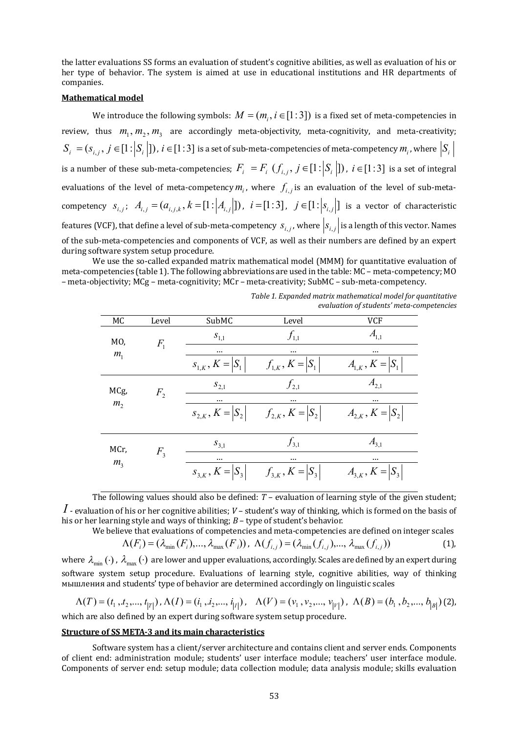the latter evaluations SS forms an evaluation of student's cognitive abilities, as well as evaluation of his or her type of behavior. The system is aimed at use in educational institutions and HR departments of companies.

#### **Mathematical model**

We introduce the following symbols:  $M = (m_{\overline{i}}, i \in [1:3])$  is a fixed set of meta-competencies in review, thus  $m_1, m_2, m_3$  are accordingly meta-objectivity, meta-cognitivity, and meta-creativity;  $S_i^- = (s_{i,j},\,j\in[1\!:\!|S_i^-|])$  ,  $i\in[1\!:\!3]$  is a set of sub-meta-competencies of meta-competency  $m_i$  , where  $\big|S_i^$ is a number of these sub-meta-competencies;  $F_i = F_i$   $(f_{i,j}, j \in [1: |S_i|])$ ,  $i \in [1:3]$  is a set of integral evaluations of the level of meta-competency  $m_i$ , where  $f_{i,j}$  is an evaluation of the level of sub-metacompetency  $s_{i,j}$ ;  $A_{i,j} = (a_{i,j,k}, k = [1: |A_{i,j}|])$ ,  $i = [1:3]$ ,  $j \in [1: |s_{i,j}|]$  is a vector of characteristic features (VCF), that define a level of sub-meta-competency  $s_{i,j}$ , where  $|s_{i,j}|$  is a length of this vector. Names of the sub-meta-competencies and components of VCF, as well as their numbers are defined by an expert during software system setup procedure.

We use the so-called expanded matrix mathematical model (MMM) for quantitative evaluation of meta-competencies (table 1). The following abbreviations are used in the table: MC – meta-competency; MO – meta-objectivity; MCg – meta-cognitivity; MCr – meta-creativity; SubMC – sub-meta-competency.

| МC                     | Level   | SubMC                   | Level                   | VCF                     |
|------------------------|---------|-------------------------|-------------------------|-------------------------|
| MO,                    | $F_{1}$ | $S_{1,1}$               | $f_{1,1}$               | $A_{1,1}$               |
| $m_{1}$                |         |                         |                         |                         |
|                        |         | $S_{1,K}$ , $K =  S_1 $ | $f_{1,K}$ , $K =  S_1 $ | $A_{1,K}$ , $K =  S_1 $ |
| MCg,<br>m <sub>2</sub> | $F_{2}$ | $S_{2,1}$               | $f_{2,1}$               | $A_{2,1}$               |
|                        |         |                         |                         |                         |
|                        |         | $S_{2,K}$ , $K =  S_2 $ | $f_{2,K}$ , $K =  S_2 $ | $A_{2,K}$ , $K =  S_2 $ |
| MCr,<br>m <sub>3</sub> | $F_{3}$ | $S_{3,1}$               | $f_{3,1}$               | $A_{3,1}$               |
|                        |         | $\cdots$                |                         |                         |
|                        |         | $S_{3,K}$ , $K =  S_3 $ | $f_{3,K}$ , $K =  S_3 $ | $A_{3,K}$ , $K =  S_3 $ |

Table 1. Expanded matrix mathematical model for *auantitative evaluation of students' meta-competencies*

The following values should also be defined: *T* – evaluation of learning style of the given student;  $I$  - evaluation of his or her cognitive abilities;  $V$  – student's way of thinking, which is formed on the basis of his or her learning style and ways of thinking; *B* – type of student's behavior.<br>We believe that evaluations of competencies and meta-competencies

We believe that evaluations of competencies and meta-competencies are defined on integer scales  
\n
$$
\Lambda(F_i) = (\lambda_{\min}(F_i), ..., \lambda_{\max}(F_i)), \ \Lambda(f_{i,j}) = (\lambda_{\min}(f_{i,j}), ..., \lambda_{\max}(f_{i,j}))
$$
\n(1),

where  $\lambda_{min}$  ( $\cdot$ ),  $\lambda_{max}$  ( $\cdot$ ) are lower and upper evaluations, accordingly. Scales are defined by an expert during software system setup procedure. Evaluations of learning style, cognitive abilities, way of thinking мышления and students' type of behavior are determined accordingly on linguistic scales

$$
\Lambda(T) = (t_1, t_2, ..., t_{|T|}), \Lambda(I) = (i_1, i_2, ..., i_{|I|}), \quad \Lambda(V) = (v_1, v_2, ..., v_{|V|}), \quad \Lambda(B) = (b_1, b_2, ..., b_{|B|})
$$
 (2),  
which are also defined by an event during software system setup procedure.

which are also defined by an expert during software system setup procedure.

### **Structure of SS META-3 and its main characteristics**

Software system has a client/server architecture and contains client and server ends. Components of client end: administration module; students' user interface module; teachers' user interface module. Components of server end: setup module; data collection module; data analysis module; skills evaluation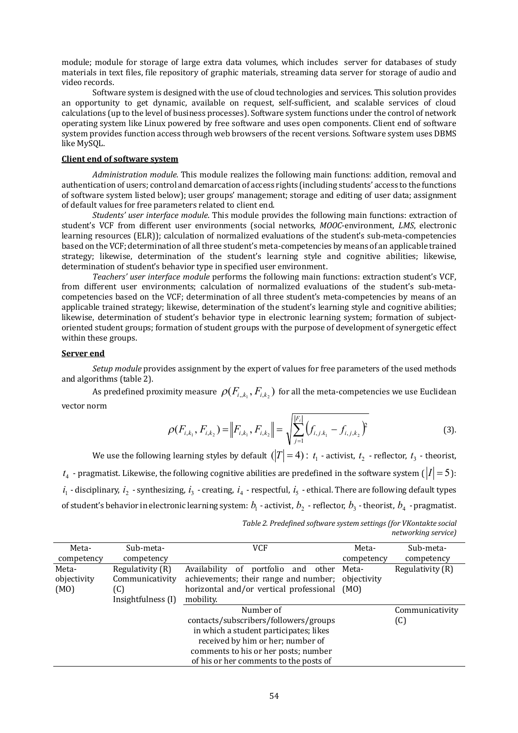module; module for storage of large extra data volumes, which includes server for databases of study materials in text files, file repository of graphic materials, streaming data server for storage of audio and video records.

Software system is designed with the use of cloud technologies and services. This solution provides an opportunity to get dynamic, available on request, self-sufficient, and scalable services of cloud calculations (up to the level of business processes). Software system functions under the control of network operating system like Linux powered by free software and uses open components. Client end of software system provides function access through web browsers of the recent versions. Software system uses DBMS like MySQL.

### **Client end of software system**

*Administration module.* This module realizes the following main functions: addition, removal and authentication of users; control and demarcation of access rights (including students' access to the functions of software system listed below); user groups' management; storage and editing of user data; assignment of default values for free parameters related to client end.

*Students' user interface module*. This module provides the following main functions: extraction of student's VCF from different user environments (social networks, *MOOC*-environment, *LMS*, electronic learning resources (ELR)); calculation of normalized evaluations of the student's sub-meta-competencies based on the VCF; determination of all three student's meta-competencies by means of an applicable trained strategy; likewise, determination of the student's learning style and cognitive abilities; likewise, determination of student's behavior type in specified user environment.

*Teachers' user interface module* performs the following main functions: extraction student's VCF, from different user environments; calculation of normalized evaluations of the student's sub-metacompetencies based on the VCF; determination of all three student's meta-competencies by means of an applicable trained strategy; likewise, determination of the student's learning style and cognitive abilities; likewise, determination of student's behavior type in electronic learning system; formation of subjectoriented student groups; formation of student groups with the purpose of development of synergetic effect within these groups.

#### **Server end**

*Setup module* provides assignment by the expert of values for free parameters of the used methods and algorithms (table 2).

As predefined proximity measure  $\,\rho(F_{i,k_1},F_{i,k_2})\,$  for all the meta-competencies we use Euclidean vector norm

$$
\rho(F_{i,k_1}, F_{i,k_2}) = \|F_{i,k_1}, F_{i,k_2}\| = \sqrt{\sum_{j=1}^{|F_i|} (f_{i,j,k_1} - f_{i,j,k_2})^2}
$$
(3).

We use the following learning styles by default  $(|T|=4)$  :  $t_1$  - activist,  $t_2$  - reflector,  $t_3$  - theorist,  $t_4$  - pragmatist. Likewise, the following cognitive abilities are predefined in the software system ( $|I|\,{=}\,5$  ):  $i_1$  - disciplinary,  $i_2$  - synthesizing,  $i_3$  - creating,  $i_4$  - respectful,  $i_5$  - ethical. There are following default types of student's behavior in electronic learning system:  $b_{\!\scriptscriptstyle 1}$  - activist,  $b_{\!\scriptscriptstyle 2}$  - reflector,  $b_{\!\scriptscriptstyle 3}$  - theorist,  $b_{\!\scriptscriptstyle 4}$  - pragmatist.

| Table 2. Predefined software system settings (for VKontakte social |
|--------------------------------------------------------------------|
| networking service)                                                |

| Meta-                                  | Sub-meta-                         | VCF                                       | Meta-       | Sub-meta-        |  |  |  |
|----------------------------------------|-----------------------------------|-------------------------------------------|-------------|------------------|--|--|--|
| competency                             | competency                        |                                           | competency  | competency       |  |  |  |
| Meta-                                  | Regulativity (R)                  | portfolio and other<br>Availability<br>of | Meta-       | Regulativity (R) |  |  |  |
| objectivity                            | Communicativity                   | achievements; their range and number;     | objectivity |                  |  |  |  |
| (MO)                                   | (C)                               | horizontal and/or vertical professional   | (M0)        |                  |  |  |  |
|                                        | Insightfulness (I)                | mobility.                                 |             |                  |  |  |  |
|                                        |                                   | Number of                                 |             | Communicativity  |  |  |  |
|                                        |                                   | contacts/subscribers/followers/groups     |             | (C)              |  |  |  |
| in which a student participates; likes |                                   |                                           |             |                  |  |  |  |
|                                        | received by him or her; number of |                                           |             |                  |  |  |  |
| comments to his or her posts; number   |                                   |                                           |             |                  |  |  |  |
| of his or her comments to the posts of |                                   |                                           |             |                  |  |  |  |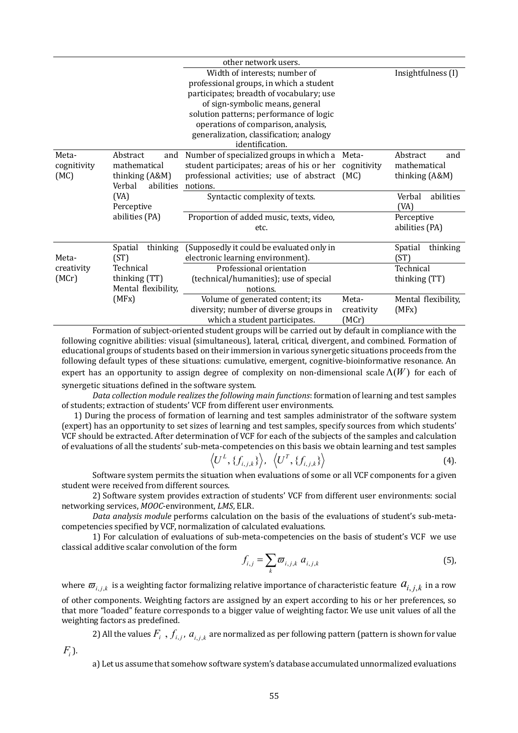|                              |                                                                          | other network users.                                                                                                                                                                                                                                                                                    |                              |                                                   |
|------------------------------|--------------------------------------------------------------------------|---------------------------------------------------------------------------------------------------------------------------------------------------------------------------------------------------------------------------------------------------------------------------------------------------------|------------------------------|---------------------------------------------------|
|                              |                                                                          | Width of interests; number of<br>professional groups, in which a student<br>participates; breadth of vocabulary; use<br>of sign-symbolic means, general<br>solution patterns; performance of logic<br>operations of comparison, analysis,<br>generalization, classification; analogy<br>identification. |                              | Insightfulness (I)                                |
| Meta-<br>cognitivity<br>(MC) | Abstract<br>and<br>mathematical<br>thinking (A&M)<br>Verbal<br>abilities | Number of specialized groups in which a<br>student participates; areas of his or her<br>professional activities; use of abstract (MC)<br>notions.                                                                                                                                                       | Meta-<br>cognitivity         | Abstract<br>and<br>mathematical<br>thinking (A&M) |
|                              | (VA)<br>Perceptive                                                       | Syntactic complexity of texts.                                                                                                                                                                                                                                                                          |                              | abilities<br>Verbal<br>(VA)                       |
|                              | abilities (PA)                                                           | Proportion of added music, texts, video,<br>etc.                                                                                                                                                                                                                                                        |                              | Perceptive<br>abilities (PA)                      |
| Meta-                        | thinking<br>Spatial<br>(ST)                                              | (Supposedly it could be evaluated only in<br>electronic learning environment).                                                                                                                                                                                                                          |                              | thinking<br>Spatial<br>(ST)                       |
| creativity                   | Technical                                                                | Professional orientation                                                                                                                                                                                                                                                                                |                              | Technical                                         |
| (MCr)                        | thinking (TT)                                                            | (technical/humanities); use of special                                                                                                                                                                                                                                                                  |                              | thinking (TT)                                     |
|                              | Mental flexibility,                                                      | notions.                                                                                                                                                                                                                                                                                                |                              |                                                   |
|                              | (MFx)                                                                    | Volume of generated content; its<br>diversity; number of diverse groups in<br>which a student participates.                                                                                                                                                                                             | Meta-<br>creativity<br>(MCr) | Mental flexibility,<br>(MFx)                      |

Formation of subject-oriented student groups will be carried out by default in compliance with the following cognitive abilities: visual (simultaneous), lateral, critical, divergent, and combined. Formation of educational groups of students based on their immersion in various synergetic situations proceeds from the following default types of these situations: cumulative, emergent, cognitive-bioinformative resonance. An expert has an opportunity to assign degree of complexity on non-dimensional scale  $\Lambda(W)$  for each of

synergetic situations defined in the software system.

Data collection module realizes the following main functions: formation of learning and test samples of students; extraction of students' VCF from different user environments.

1) During the process of formation of learning and test samples administrator of the software system (expert) has an opportunity to set sizes of learning and test samples, specify sources from which students' VCF should be extracted. After determination of VCF for each of the subjects of the samples and calculation of evaluations of all the students' sub-meta-competencies on this basis we obtain learning and test samples

$$
\langle U^L, \{f_{i,j,k}\}\rangle, \langle U^T, \{f_{i,j,k}\}\rangle
$$
 (4).

Software system permits the situation when evaluations of some or all VCF components for a given student were received from different sources.

2) Software system provides extraction of students' VCF from different user environments: social networking services, *MOOC*-environment, *LMS*, ELR.

*Data analysis module* performs calculation on the basis of the evaluations of student's sub-metacompetencies specified by VCF, normalization of calculated evaluations.

1) For calculation of evaluations of sub-meta-competencies on the basis of student's VCF we use classical additive scalar convolution of the form

$$
f_{i,j} = \sum_{k} \varpi_{i,j,k} \ a_{i,j,k} \tag{5}
$$

where  $\varpi_{i,j,k}$  is a weighting factor formalizing relative importance of characteristic feature  $a_{i,j,k}$  in a row of other components. Weighting factors are assigned by an expert according to his or her preferences, so that more "loaded" feature corresponds to a bigger value of weighting factor. We use unit values of all the weighting factors as predefined.

2) All the values  $F_i\,$  ,  $f_{i,j}$  ,  $a_{i,j,k}$  are normalized as per following pattern (pattern is shown for value

*Fi* ).

а) Let us assume that somehow software system's database accumulated unnormalized evaluations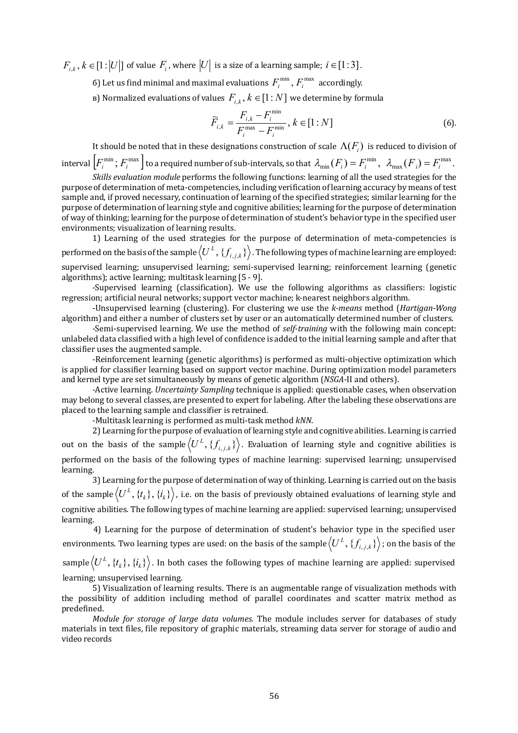$F_{i,k}, k \in [1 \colon ]U|]$  of value  $F_i$ , where  $|U|$  is a size of a learning sample;  $i \in [1 \colon ]3]$ .

- б) Let us find minimal and maximal evaluations  $F_i^{\text{min}}$  ,  $F_i^{\text{max}}$  accordingly.
- в) Normalized evaluations of values  $F_{i, k}, k \in [1:N]$  we determine by formula

$$
\widetilde{F}_{i,k} = \frac{F_{i,k} - F_i^{\min}}{F_i^{\max} - F_i^{\min}}, k \in [1:N]
$$
\n(6)

It should be noted that in these designations construction of scale  $\,Lambda(F_{\!i})\,$  is reduced to division of interval  $\left[F_i^{\min}; F_i^{\max}\right]$  to a required number of sub-intervals, so that  $\lambda_{\min}(F_i)=F_i^{\min}, \ \ \lambda_{\max}(F_i)=F_i^{\max}.$  $\lambda_{\min}(F_i) = F_i^{\min}, \ \ \lambda_{\max}(F_i) = F_i^{\min}$ 

*Skills evaluation module* performs the following functions: learning of all the used strategies for the purpose of determination of meta-competencies, including verification of learning accuracy by means of test sample and, if proved necessary, continuation of learning of the specified strategies; similar learning for the purpose of determination of learning style and cognitive abilities; learning for the purpose of determination of way of thinking; learning for the purpose of determination of student's behavior type in the specified user environments; visualization of learning results.

1) Learning of the used strategies for the purpose of determination of meta-competencies is performed on the basis of the sample  $\langle U^L,\{f_{i,j,k}\}\rangle$  . The following types of machine learning are employed: supervised learning; unsupervised learning; semi-supervised learning; reinforcement learning (genetic algorithms); active learning; multitask learning [5 - 9].

-Supervised learning (classification). We use the following algorithms as classifiers: logistic regression; artificial neural networks; support vector machine; k-nearest neighbors algorithm.

-Unsupervised learning (clustering). For clustering we use the *k-means* method (*Hartigan-Wong*  algorithm) and either a number of clusters set by user or an automatically determined number of clusters.

-Semi-supervised learning. We use the method of *self-training* with the following main concept: unlabeled data classified with a high level of confidence is added to the initial learning sample and after that classifier uses the augmented sample.

-Reinforcement learning (genetic algorithms) is performed as multi-objective optimization which is applied for classifier learning based on support vector machine. During optimization model parameters and kernel type are set simultaneously by means of genetic algorithm (*NSGA*-II and others).

-Active learning. *Uncertainty Sampling* technique is applied: questionable cases, when observation may belong to several classes, are presented to expert for labeling. After the labeling these observations are placed to the learning sample and classifier is retrained.

-Multitask learning is performed as multi-task method *kNN*.

2) Learning for the purpose of evaluation of learning style and cognitive abilities. Learning is carried out on the basis of the sample $\left\langle U^{L},\{f_{i,j,k}\}\right\rangle$ . Evaluation of learning style and cognitive abilities is performed on the basis of the following types of machine learning: supervised learning; unsupervised learning.

3) Learning for the purpose of determination of way of thinking. Learning is carried out on the basis of the sample  $\left\langle U^L,\{t_k\},\{i_k\}\right\rangle$  , i.e. on the basis of previously obtained evaluations of learning style and cognitive abilities. The following types of machine learning are applied: supervised learning; unsupervised learning.

4) Learning for the purpose of determination of student's behavior type in the specified user environments. Two learning types are used: on the basis of the sample  $\left\langle U^{L},\{f_{i,j,k}\}\right\rangle$  ; on the basis of the

sample $\left\langle U^{L},\{t_{k}\},\{i_{k}\}\right\rangle$ . In both cases the following types of machine learning are applied: supervised learning; unsupervised learning.

5) Visualization of learning results. There is an augmentable range of visualization methods with the possibility of addition including method of parallel coordinates and scatter matrix method as predefined.

*Module for storage of large data volumes.* The module includes server for databases of study materials in text files, file repository of graphic materials, streaming data server for storage of audio and video records